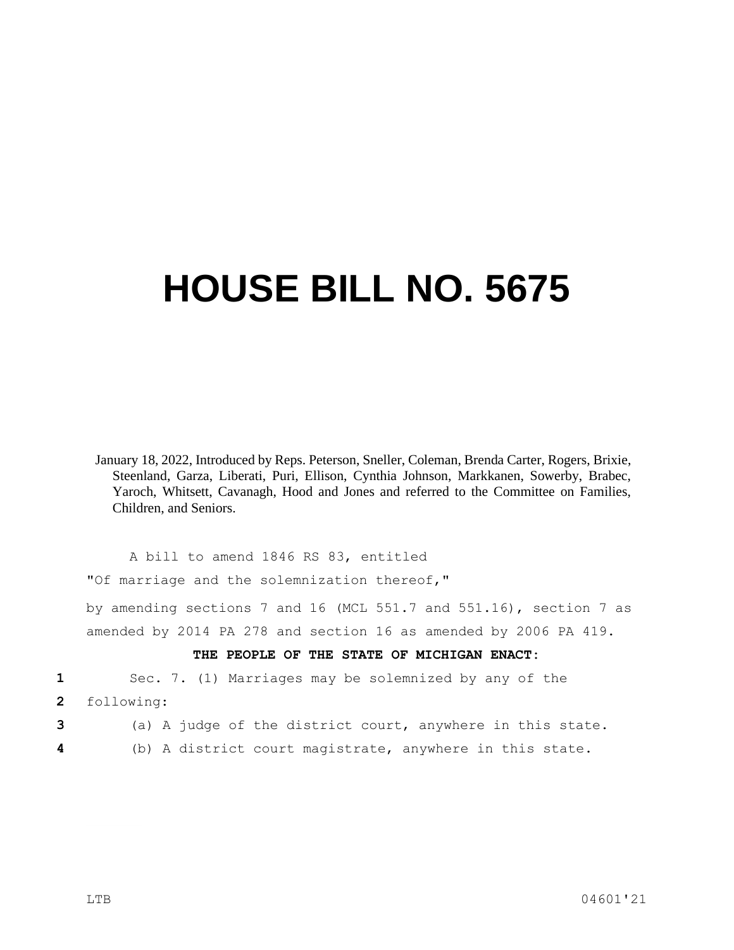## **HOUSE BILL NO. 5675**

January 18, 2022, Introduced by Reps. Peterson, Sneller, Coleman, Brenda Carter, Rogers, Brixie, Steenland, Garza, Liberati, Puri, Ellison, Cynthia Johnson, Markkanen, Sowerby, Brabec, Yaroch, Whitsett, Cavanagh, Hood and Jones and referred to the Committee on Families, Children, and Seniors.

A bill to amend 1846 RS 83, entitled "Of marriage and the solemnization thereof,"

by amending sections 7 and 16 (MCL 551.7 and 551.16), section 7 as amended by 2014 PA 278 and section 16 as amended by 2006 PA 419.

## **THE PEOPLE OF THE STATE OF MICHIGAN ENACT:**

**1** Sec. 7. (1) Marriages may be solemnized by any of the

**2** following:

**3** (a) A judge of the district court, anywhere in this state.

**4** (b) A district court magistrate, anywhere in this state.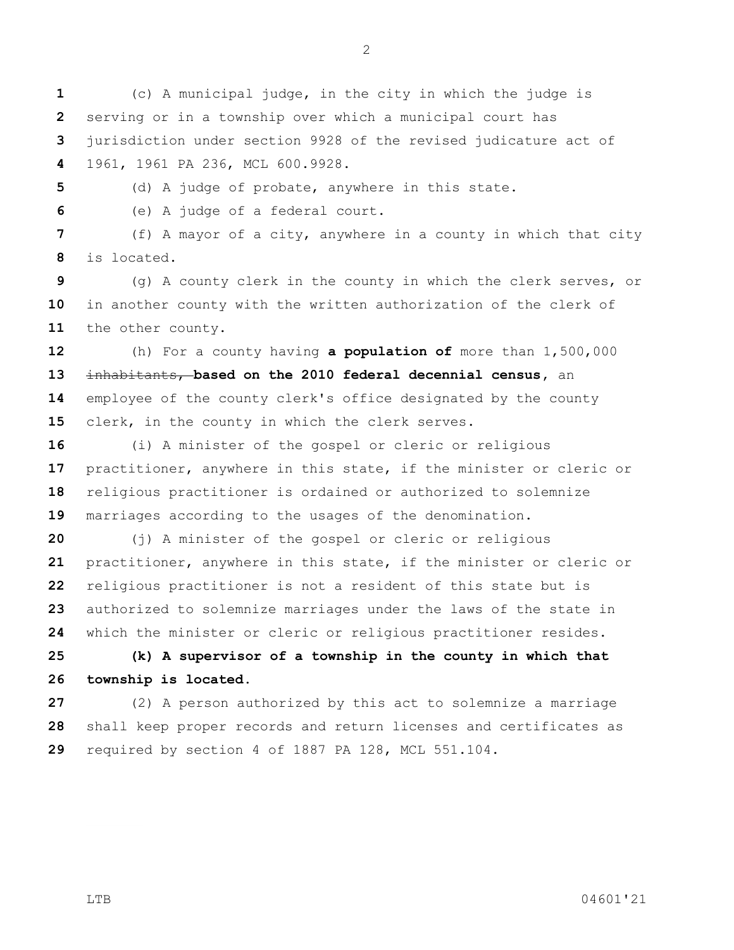(c) A municipal judge, in the city in which the judge is serving or in a township over which a municipal court has jurisdiction under section 9928 of the revised judicature act of 1961, 1961 PA 236, MCL 600.9928.

(d) A judge of probate, anywhere in this state.

(e) A judge of a federal court.

 (f) A mayor of a city, anywhere in a county in which that city is located.

 (g) A county clerk in the county in which the clerk serves, or in another county with the written authorization of the clerk of the other county.

 (h) For a county having **a population of** more than 1,500,000 inhabitants, **based on the 2010 federal decennial census,** an employee of the county clerk's office designated by the county clerk, in the county in which the clerk serves.

 (i) A minister of the gospel or cleric or religious practitioner, anywhere in this state, if the minister or cleric or religious practitioner is ordained or authorized to solemnize marriages according to the usages of the denomination.

 (j) A minister of the gospel or cleric or religious practitioner, anywhere in this state, if the minister or cleric or religious practitioner is not a resident of this state but is authorized to solemnize marriages under the laws of the state in which the minister or cleric or religious practitioner resides.

 **(k) A supervisor of a township in the county in which that township is located.**

 (2) A person authorized by this act to solemnize a marriage shall keep proper records and return licenses and certificates as required by section 4 of 1887 PA 128, MCL 551.104.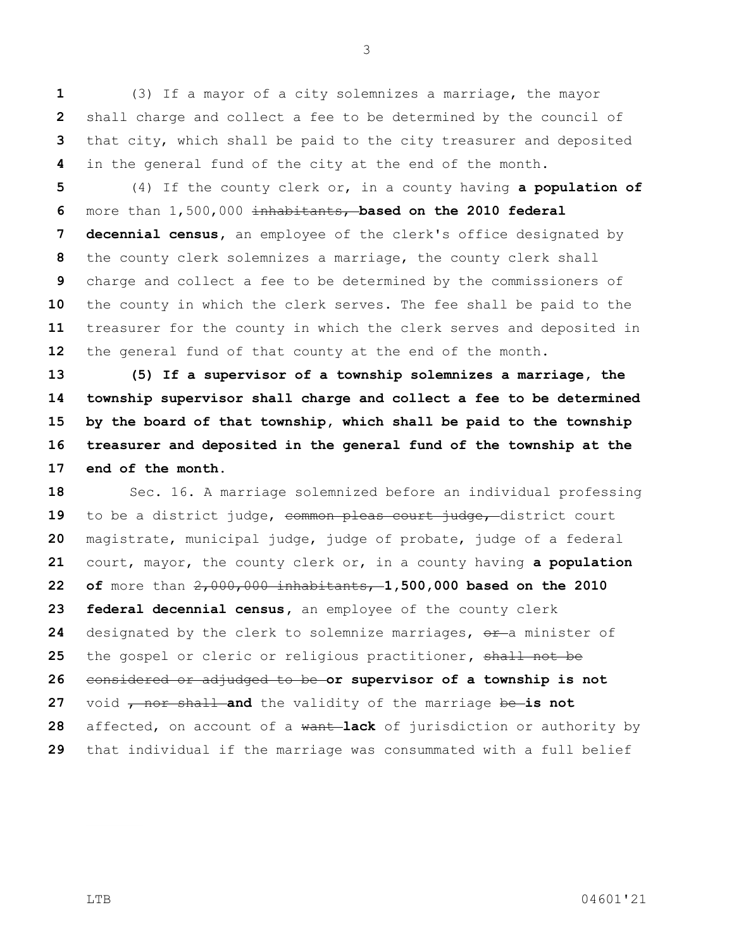(3) If a mayor of a city solemnizes a marriage, the mayor shall charge and collect a fee to be determined by the council of that city, which shall be paid to the city treasurer and deposited in the general fund of the city at the end of the month.

 (4) If the county clerk or, in a county having **a population of**  more than 1,500,000 inhabitants, **based on the 2010 federal decennial census,** an employee of the clerk's office designated by the county clerk solemnizes a marriage, the county clerk shall charge and collect a fee to be determined by the commissioners of the county in which the clerk serves. The fee shall be paid to the treasurer for the county in which the clerk serves and deposited in the general fund of that county at the end of the month.

 **(5) If a supervisor of a township solemnizes a marriage, the township supervisor shall charge and collect a fee to be determined by the board of that township, which shall be paid to the township treasurer and deposited in the general fund of the township at the end of the month.**

 Sec. 16. A marriage solemnized before an individual professing 19 to be a district judge, common pleas court judge, district court magistrate, municipal judge, judge of probate, judge of a federal court, mayor, the county clerk or, in a county having **a population of** more than 2,000,000 inhabitants, **1,500,000 based on the 2010 federal decennial census,** an employee of the county clerk designated by the clerk to solemnize marriages, or a minister of the gospel or cleric or religious practitioner**,** shall not be considered or adjudged to be **or supervisor of a township is not**  27 void <del>, nor shall a</del>nd the validity of the marriage be-is not affected, on account of a want **lack** of jurisdiction or authority by that individual if the marriage was consummated with a full belief